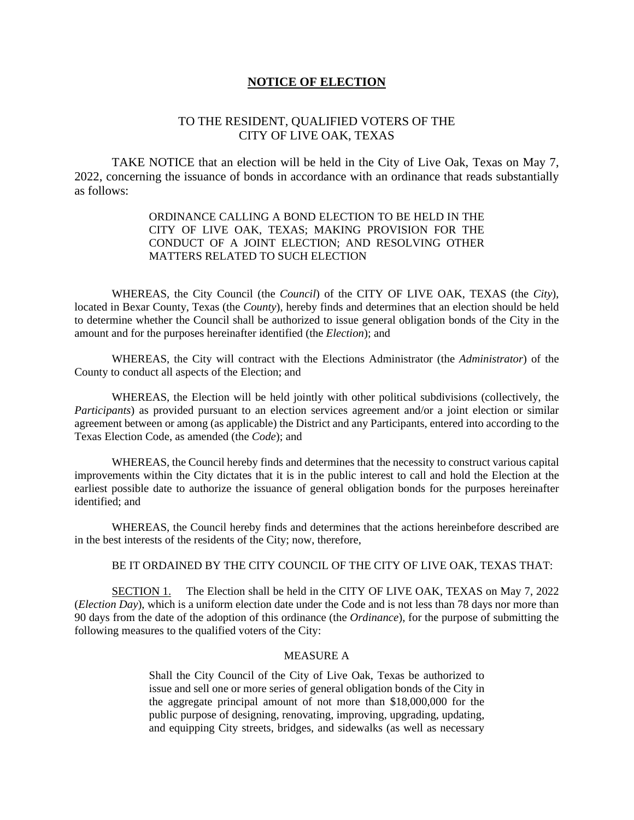### **NOTICE OF ELECTION**

## TO THE RESIDENT, QUALIFIED VOTERS OF THE CITY OF LIVE OAK, TEXAS

TAKE NOTICE that an election will be held in the City of Live Oak, Texas on May 7, 2022, concerning the issuance of bonds in accordance with an ordinance that reads substantially as follows:

### ORDINANCE CALLING A BOND ELECTION TO BE HELD IN THE CITY OF LIVE OAK, TEXAS; MAKING PROVISION FOR THE CONDUCT OF A JOINT ELECTION; AND RESOLVING OTHER MATTERS RELATED TO SUCH ELECTION

WHEREAS, the City Council (the *Council*) of the CITY OF LIVE OAK, TEXAS (the *City*), located in Bexar County, Texas (the *County*), hereby finds and determines that an election should be held to determine whether the Council shall be authorized to issue general obligation bonds of the City in the amount and for the purposes hereinafter identified (the *Election*); and

WHEREAS, the City will contract with the Elections Administrator (the *Administrator*) of the County to conduct all aspects of the Election; and

WHEREAS, the Election will be held jointly with other political subdivisions (collectively, the *Participants*) as provided pursuant to an election services agreement and/or a joint election or similar agreement between or among (as applicable) the District and any Participants, entered into according to the Texas Election Code, as amended (the *Code*); and

WHEREAS, the Council hereby finds and determines that the necessity to construct various capital improvements within the City dictates that it is in the public interest to call and hold the Election at the earliest possible date to authorize the issuance of general obligation bonds for the purposes hereinafter identified; and

WHEREAS, the Council hereby finds and determines that the actions hereinbefore described are in the best interests of the residents of the City; now, therefore,

### BE IT ORDAINED BY THE CITY COUNCIL OF THE CITY OF LIVE OAK, TEXAS THAT:

SECTION 1. The Election shall be held in the CITY OF LIVE OAK, TEXAS on May 7, 2022 (*Election Day*), which is a uniform election date under the Code and is not less than 78 days nor more than 90 days from the date of the adoption of this ordinance (the *Ordinance*), for the purpose of submitting the following measures to the qualified voters of the City:

#### MEASURE A

Shall the City Council of the City of Live Oak, Texas be authorized to issue and sell one or more series of general obligation bonds of the City in the aggregate principal amount of not more than \$18,000,000 for the public purpose of designing, renovating, improving, upgrading, updating, and equipping City streets, bridges, and sidewalks (as well as necessary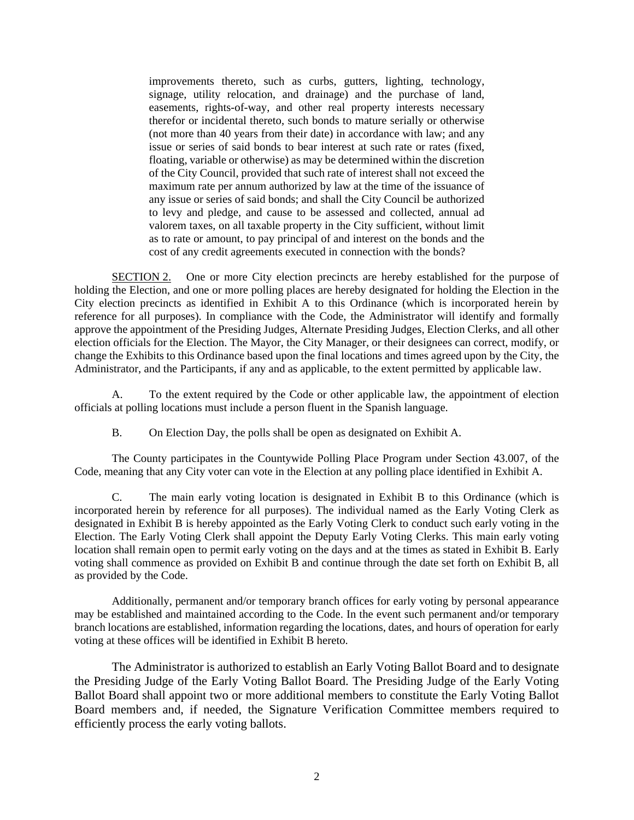improvements thereto, such as curbs, gutters, lighting, technology, signage, utility relocation, and drainage) and the purchase of land, easements, rights-of-way, and other real property interests necessary therefor or incidental thereto, such bonds to mature serially or otherwise (not more than 40 years from their date) in accordance with law; and any issue or series of said bonds to bear interest at such rate or rates (fixed, floating, variable or otherwise) as may be determined within the discretion of the City Council, provided that such rate of interest shall not exceed the maximum rate per annum authorized by law at the time of the issuance of any issue or series of said bonds; and shall the City Council be authorized to levy and pledge, and cause to be assessed and collected, annual ad valorem taxes, on all taxable property in the City sufficient, without limit as to rate or amount, to pay principal of and interest on the bonds and the cost of any credit agreements executed in connection with the bonds?

SECTION 2. One or more City election precincts are hereby established for the purpose of holding the Election, and one or more polling places are hereby designated for holding the Election in the City election precincts as identified in Exhibit A to this Ordinance (which is incorporated herein by reference for all purposes). In compliance with the Code, the Administrator will identify and formally approve the appointment of the Presiding Judges, Alternate Presiding Judges, Election Clerks, and all other election officials for the Election. The Mayor, the City Manager, or their designees can correct, modify, or change the Exhibits to this Ordinance based upon the final locations and times agreed upon by the City, the Administrator, and the Participants, if any and as applicable, to the extent permitted by applicable law.

A. To the extent required by the Code or other applicable law, the appointment of election officials at polling locations must include a person fluent in the Spanish language.

B. On Election Day, the polls shall be open as designated on Exhibit A.

The County participates in the Countywide Polling Place Program under Section 43.007, of the Code, meaning that any City voter can vote in the Election at any polling place identified in Exhibit A.

C. The main early voting location is designated in Exhibit B to this Ordinance (which is incorporated herein by reference for all purposes). The individual named as the Early Voting Clerk as designated in Exhibit B is hereby appointed as the Early Voting Clerk to conduct such early voting in the Election. The Early Voting Clerk shall appoint the Deputy Early Voting Clerks. This main early voting location shall remain open to permit early voting on the days and at the times as stated in Exhibit B. Early voting shall commence as provided on Exhibit B and continue through the date set forth on Exhibit B, all as provided by the Code.

Additionally, permanent and/or temporary branch offices for early voting by personal appearance may be established and maintained according to the Code. In the event such permanent and/or temporary branch locations are established, information regarding the locations, dates, and hours of operation for early voting at these offices will be identified in Exhibit B hereto.

The Administrator is authorized to establish an Early Voting Ballot Board and to designate the Presiding Judge of the Early Voting Ballot Board. The Presiding Judge of the Early Voting Ballot Board shall appoint two or more additional members to constitute the Early Voting Ballot Board members and, if needed, the Signature Verification Committee members required to efficiently process the early voting ballots.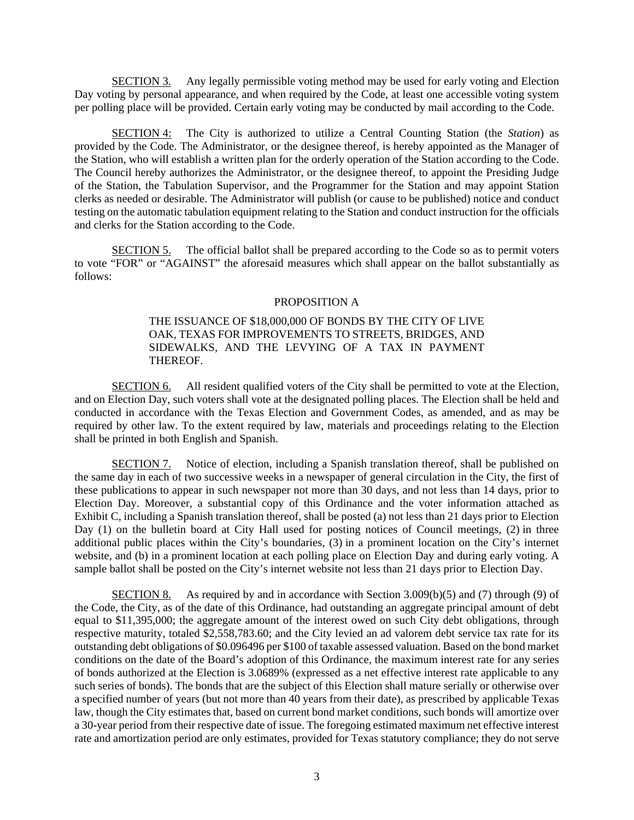SECTION 3. Any legally permissible voting method may be used for early voting and Election Day voting by personal appearance, and when required by the Code, at least one accessible voting system per polling place will be provided. Certain early voting may be conducted by mail according to the Code.

SECTION 4: The City is authorized to utilize a Central Counting Station (the *Station*) as provided by the Code. The Administrator, or the designee thereof, is hereby appointed as the Manager of the Station, who will establish a written plan for the orderly operation of the Station according to the Code. The Council hereby authorizes the Administrator, or the designee thereof, to appoint the Presiding Judge of the Station, the Tabulation Supervisor, and the Programmer for the Station and may appoint Station clerks as needed or desirable. The Administrator will publish (or cause to be published) notice and conduct testing on the automatic tabulation equipment relating to the Station and conduct instruction for the officials and clerks for the Station according to the Code.

SECTION 5. The official ballot shall be prepared according to the Code so as to permit voters to vote "FOR" or "AGAINST" the aforesaid measures which shall appear on the ballot substantially as follows:

### PROPOSITION A

### THE ISSUANCE OF \$18,000,000 OF BONDS BY THE CITY OF LIVE OAK, TEXAS FOR IMPROVEMENTS TO STREETS, BRIDGES, AND SIDEWALKS, AND THE LEVYING OF A TAX IN PAYMENT THEREOF.

SECTION 6. All resident qualified voters of the City shall be permitted to vote at the Election, and on Election Day, such voters shall vote at the designated polling places. The Election shall be held and conducted in accordance with the Texas Election and Government Codes, as amended, and as may be required by other law. To the extent required by law, materials and proceedings relating to the Election shall be printed in both English and Spanish.

SECTION 7. Notice of election, including a Spanish translation thereof, shall be published on the same day in each of two successive weeks in a newspaper of general circulation in the City, the first of these publications to appear in such newspaper not more than 30 days, and not less than 14 days, prior to Election Day. Moreover, a substantial copy of this Ordinance and the voter information attached as Exhibit C, including a Spanish translation thereof, shall be posted (a) not less than 21 days prior to Election Day (1) on the bulletin board at City Hall used for posting notices of Council meetings, (2) in three additional public places within the City's boundaries, (3) in a prominent location on the City's internet website, and (b) in a prominent location at each polling place on Election Day and during early voting. A sample ballot shall be posted on the City's internet website not less than 21 days prior to Election Day.

SECTION 8. As required by and in accordance with Section 3.009(b)(5) and (7) through (9) of the Code, the City, as of the date of this Ordinance, had outstanding an aggregate principal amount of debt equal to \$11,395,000; the aggregate amount of the interest owed on such City debt obligations, through respective maturity, totaled \$2,558,783.60; and the City levied an ad valorem debt service tax rate for its outstanding debt obligations of \$0.096496 per \$100 of taxable assessed valuation. Based on the bond market conditions on the date of the Board's adoption of this Ordinance, the maximum interest rate for any series of bonds authorized at the Election is 3.0689% (expressed as a net effective interest rate applicable to any such series of bonds). The bonds that are the subject of this Election shall mature serially or otherwise over a specified number of years (but not more than 40 years from their date), as prescribed by applicable Texas law, though the City estimates that, based on current bond market conditions, such bonds will amortize over a 30-year period from their respective date of issue. The foregoing estimated maximum net effective interest rate and amortization period are only estimates, provided for Texas statutory compliance; they do not serve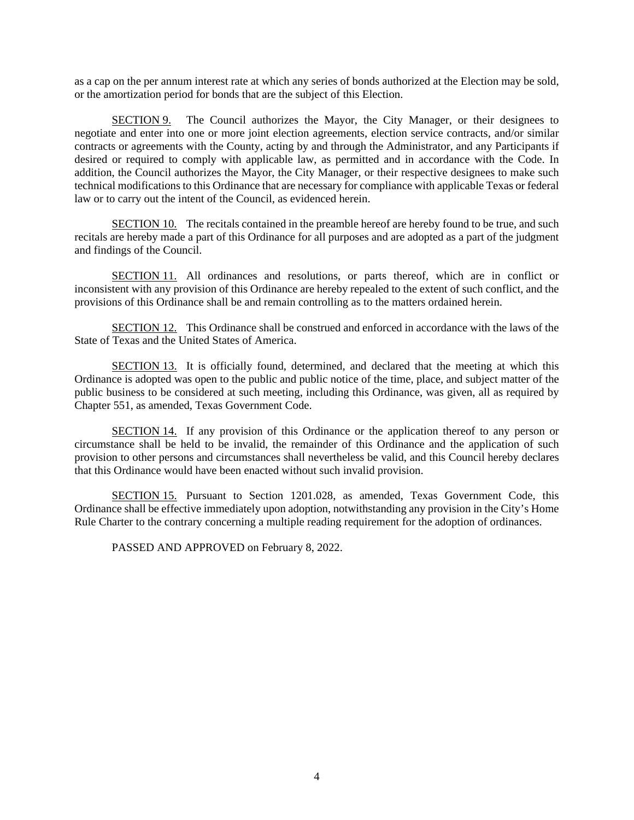as a cap on the per annum interest rate at which any series of bonds authorized at the Election may be sold, or the amortization period for bonds that are the subject of this Election.

SECTION 9. The Council authorizes the Mayor, the City Manager, or their designees to negotiate and enter into one or more joint election agreements, election service contracts, and/or similar contracts or agreements with the County, acting by and through the Administrator, and any Participants if desired or required to comply with applicable law, as permitted and in accordance with the Code. In addition, the Council authorizes the Mayor, the City Manager, or their respective designees to make such technical modifications to this Ordinance that are necessary for compliance with applicable Texas or federal law or to carry out the intent of the Council, as evidenced herein.

SECTION 10. The recitals contained in the preamble hereof are hereby found to be true, and such recitals are hereby made a part of this Ordinance for all purposes and are adopted as a part of the judgment and findings of the Council.

SECTION 11. All ordinances and resolutions, or parts thereof, which are in conflict or inconsistent with any provision of this Ordinance are hereby repealed to the extent of such conflict, and the provisions of this Ordinance shall be and remain controlling as to the matters ordained herein.

SECTION 12. This Ordinance shall be construed and enforced in accordance with the laws of the State of Texas and the United States of America.

SECTION 13. It is officially found, determined, and declared that the meeting at which this Ordinance is adopted was open to the public and public notice of the time, place, and subject matter of the public business to be considered at such meeting, including this Ordinance, was given, all as required by Chapter 551, as amended, Texas Government Code.

SECTION 14. If any provision of this Ordinance or the application thereof to any person or circumstance shall be held to be invalid, the remainder of this Ordinance and the application of such provision to other persons and circumstances shall nevertheless be valid, and this Council hereby declares that this Ordinance would have been enacted without such invalid provision.

SECTION 15. Pursuant to Section 1201.028, as amended, Texas Government Code, this Ordinance shall be effective immediately upon adoption, notwithstanding any provision in the City's Home Rule Charter to the contrary concerning a multiple reading requirement for the adoption of ordinances.

PASSED AND APPROVED on February 8, 2022.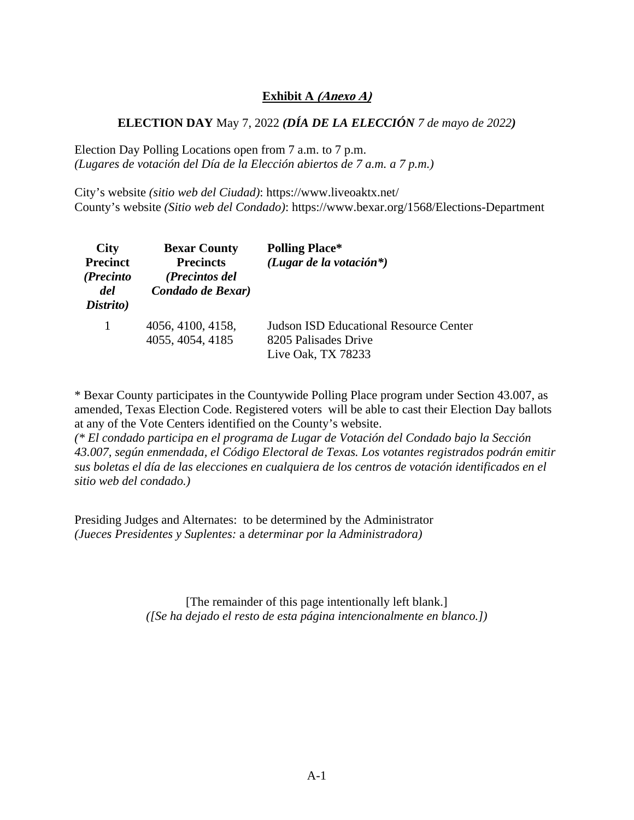# **Exhibit A (Anexo A)**

# **ELECTION DAY** May 7, 2022 *(DÍA DE LA ELECCIÓN 7 de mayo de 2022)*

Election Day Polling Locations open from 7 a.m. to 7 p.m. *(Lugares de votación del Día de la Elección abiertos de 7 a.m. a 7 p.m.)* 

City's website *(sitio web del Ciudad)*: https://www.liveoaktx.net/ County's website *(Sitio web del Condado)*: https://www.bexar.org/1568/Elections-Department

| <b>City</b><br><b>Precinct</b><br>(Precinto<br>del<br>Distrito) | <b>Bexar County</b><br><b>Precincts</b><br>(Precintos del<br>Condado de Bexar) | <b>Polling Place*</b><br>(Lugar de la votación*)                                            |
|-----------------------------------------------------------------|--------------------------------------------------------------------------------|---------------------------------------------------------------------------------------------|
| 1                                                               | 4056, 4100, 4158,<br>4055, 4054, 4185                                          | <b>Judson ISD Educational Resource Center</b><br>8205 Palisades Drive<br>Live Oak, TX 78233 |

\* Bexar County participates in the Countywide Polling Place program under Section 43.007, as amended, Texas Election Code. Registered voters will be able to cast their Election Day ballots at any of the Vote Centers identified on the County's website.

*(\* El condado participa en el programa de Lugar de Votación del Condado bajo la Sección 43.007, según enmendada, el Código Electoral de Texas. Los votantes registrados podrán emitir sus boletas el día de las elecciones en cualquiera de los centros de votación identificados en el sitio web del condado.)* 

Presiding Judges and Alternates: to be determined by the Administrator *(Jueces Presidentes y Suplentes:* a *determinar por la Administradora)* 

> [The remainder of this page intentionally left blank.] *([Se ha dejado el resto de esta página intencionalmente en blanco.])*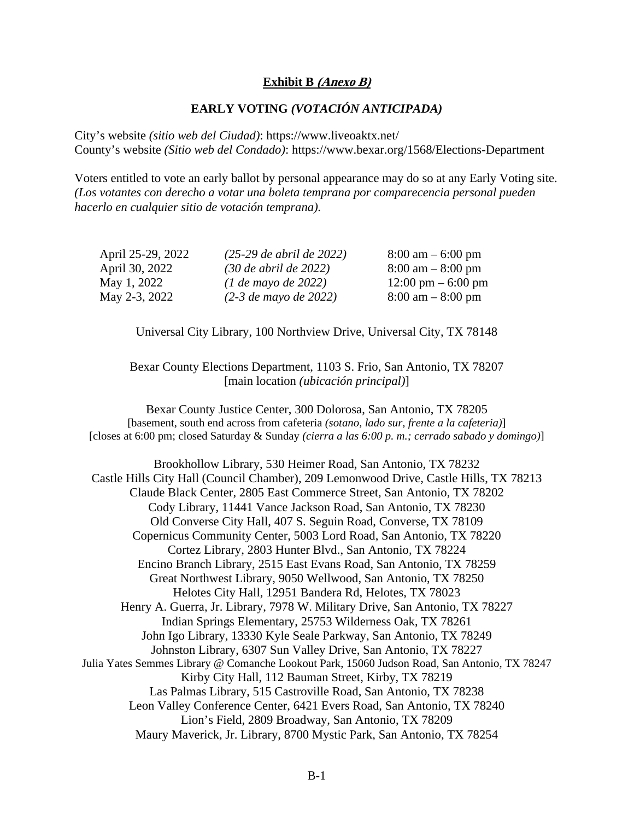## **Exhibit B (Anexo B)**

## **EARLY VOTING** *(VOTACIÓN ANTICIPADA)*

City's website *(sitio web del Ciudad)*: https://www.liveoaktx.net/ County's website *(Sitio web del Condado)*: https://www.bexar.org/1568/Elections-Department

Voters entitled to vote an early ballot by personal appearance may do so at any Early Voting site. *(Los votantes con derecho a votar una boleta temprana por comparecencia personal pueden hacerlo en cualquier sitio de votación temprana).* 

| April 25-29, 2022 | $(25-29$ de abril de 2022) | $8:00 \text{ am} - 6:00 \text{ pm}$  |
|-------------------|----------------------------|--------------------------------------|
| April 30, 2022    | $(30$ de abril de 2022)    | $8:00 \text{ am} - 8:00 \text{ pm}$  |
| May 1, 2022       | $(1$ de mayo de 2022)      | $12:00 \text{ pm} - 6:00 \text{ pm}$ |
| May 2-3, 2022     | $(2-3$ de mayo de 2022)    | $8:00 \text{ am} - 8:00 \text{ pm}$  |

Universal City Library, 100 Northview Drive, Universal City, TX 78148

Bexar County Elections Department, 1103 S. Frio, San Antonio, TX 78207 [main location *(ubicación principal)*]

Bexar County Justice Center, 300 Dolorosa, San Antonio, TX 78205 [basement, south end across from cafeteria *(sotano, lado sur, frente a la cafeteria)*] [closes at 6:00 pm; closed Saturday & Sunday *(cierra a las 6:00 p. m.; cerrado sabado y domingo)*]

Brookhollow Library, 530 Heimer Road, San Antonio, TX 78232 Castle Hills City Hall (Council Chamber), 209 Lemonwood Drive, Castle Hills, TX 78213 Claude Black Center, 2805 East Commerce Street, San Antonio, TX 78202 Cody Library, 11441 Vance Jackson Road, San Antonio, TX 78230 Old Converse City Hall, 407 S. Seguin Road, Converse, TX 78109 Copernicus Community Center, 5003 Lord Road, San Antonio, TX 78220 Cortez Library, 2803 Hunter Blvd., San Antonio, TX 78224 Encino Branch Library, 2515 East Evans Road, San Antonio, TX 78259 Great Northwest Library, 9050 Wellwood, San Antonio, TX 78250 Helotes City Hall, 12951 Bandera Rd, Helotes, TX 78023 Henry A. Guerra, Jr. Library, 7978 W. Military Drive, San Antonio, TX 78227 Indian Springs Elementary, 25753 Wilderness Oak, TX 78261 John Igo Library, 13330 Kyle Seale Parkway, San Antonio, TX 78249 Johnston Library, 6307 Sun Valley Drive, San Antonio, TX 78227 Julia Yates Semmes Library @ Comanche Lookout Park, 15060 Judson Road, San Antonio, TX 78247 Kirby City Hall, 112 Bauman Street, Kirby, TX 78219 Las Palmas Library, 515 Castroville Road, San Antonio, TX 78238 Leon Valley Conference Center, 6421 Evers Road, San Antonio, TX 78240 Lion's Field, 2809 Broadway, San Antonio, TX 78209 Maury Maverick, Jr. Library, 8700 Mystic Park, San Antonio, TX 78254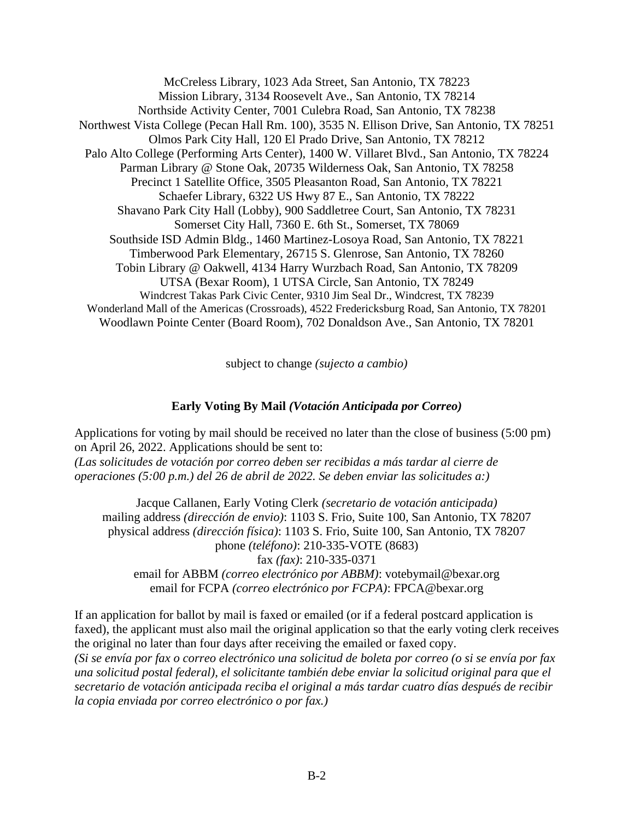McCreless Library, 1023 Ada Street, San Antonio, TX 78223 Mission Library, 3134 Roosevelt Ave., San Antonio, TX 78214 Northside Activity Center, 7001 Culebra Road, San Antonio, TX 78238 Northwest Vista College (Pecan Hall Rm. 100), 3535 N. Ellison Drive, San Antonio, TX 78251 Olmos Park City Hall, 120 El Prado Drive, San Antonio, TX 78212 Palo Alto College (Performing Arts Center), 1400 W. Villaret Blvd., San Antonio, TX 78224 Parman Library @ Stone Oak, 20735 Wilderness Oak, San Antonio, TX 78258 Precinct 1 Satellite Office, 3505 Pleasanton Road, San Antonio, TX 78221 Schaefer Library, 6322 US Hwy 87 E., San Antonio, TX 78222 Shavano Park City Hall (Lobby), 900 Saddletree Court, San Antonio, TX 78231 Somerset City Hall, 7360 E. 6th St., Somerset, TX 78069 Southside ISD Admin Bldg., 1460 Martinez-Losoya Road, San Antonio, TX 78221 Timberwood Park Elementary, 26715 S. Glenrose, San Antonio, TX 78260 Tobin Library @ Oakwell, 4134 Harry Wurzbach Road, San Antonio, TX 78209 UTSA (Bexar Room), 1 UTSA Circle, San Antonio, TX 78249 Windcrest Takas Park Civic Center, 9310 Jim Seal Dr., Windcrest, TX 78239 Wonderland Mall of the Americas (Crossroads), 4522 Fredericksburg Road, San Antonio, TX 78201 Woodlawn Pointe Center (Board Room), 702 Donaldson Ave., San Antonio, TX 78201

subject to change *(sujecto a cambio)* 

# **Early Voting By Mail** *(Votación Anticipada por Correo)*

Applications for voting by mail should be received no later than the close of business (5:00 pm) on April 26, 2022. Applications should be sent to: *(Las solicitudes de votación por correo deben ser recibidas a más tardar al cierre de operaciones (5:00 p.m.) del 26 de abril de 2022. Se deben enviar las solicitudes a:)*

Jacque Callanen, Early Voting Clerk *(secretario de votación anticipada)* mailing address *(dirección de envio)*: 1103 S. Frio, Suite 100, San Antonio, TX 78207 physical address *(dirección física)*: 1103 S. Frio, Suite 100, San Antonio, TX 78207 phone *(teléfono)*: 210-335-VOTE (8683) fax *(fax)*: 210-335-0371 email for ABBM *(correo electrónico por ABBM)*: votebymail@bexar.org email for FCPA *(correo electrónico por FCPA)*: FPCA@bexar.org

If an application for ballot by mail is faxed or emailed (or if a federal postcard application is faxed), the applicant must also mail the original application so that the early voting clerk receives the original no later than four days after receiving the emailed or faxed copy. *(Si se envía por fax o correo electrónico una solicitud de boleta por correo (o si se envía por fax una solicitud postal federal), el solicitante también debe enviar la solicitud original para que el secretario de votación anticipada reciba el original a más tardar cuatro días después de recibir la copia enviada por correo electrónico o por fax.)*